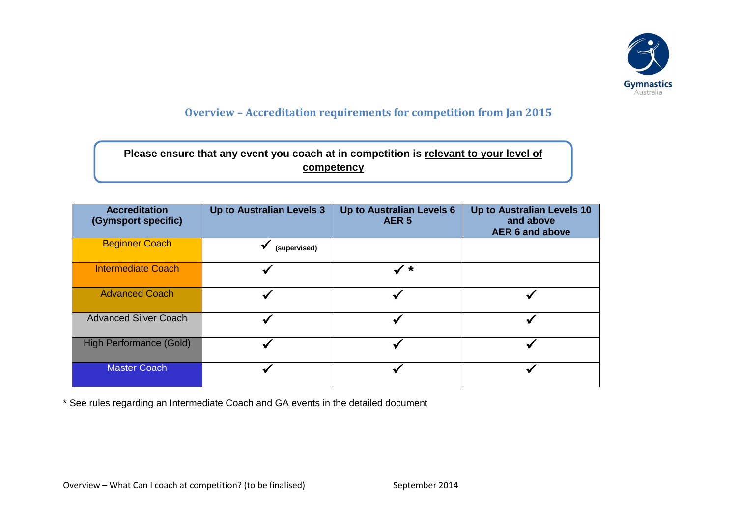

## **Overview – Accreditation requirements for competition from Jan 2015**

| Please ensure that any event you coach at in competition is relevant to your level of |
|---------------------------------------------------------------------------------------|
| competency                                                                            |

| <b>Accreditation</b><br>(Gymsport specific) | Up to Australian Levels 3 | Up to Australian Levels 6<br>AER <sub>5</sub> | Up to Australian Levels 10<br>and above<br><b>AER 6 and above</b> |
|---------------------------------------------|---------------------------|-----------------------------------------------|-------------------------------------------------------------------|
| <b>Beginner Coach</b>                       | (supervised)              |                                               |                                                                   |
| <b>Intermediate Coach</b>                   |                           | $\checkmark$ *                                |                                                                   |
| <b>Advanced Coach</b>                       |                           |                                               |                                                                   |
| <b>Advanced Silver Coach</b>                |                           |                                               |                                                                   |
| <b>High Performance (Gold)</b>              |                           |                                               |                                                                   |
| <b>Master Coach</b>                         |                           |                                               |                                                                   |

\* See rules regarding an Intermediate Coach and GA events in the detailed document